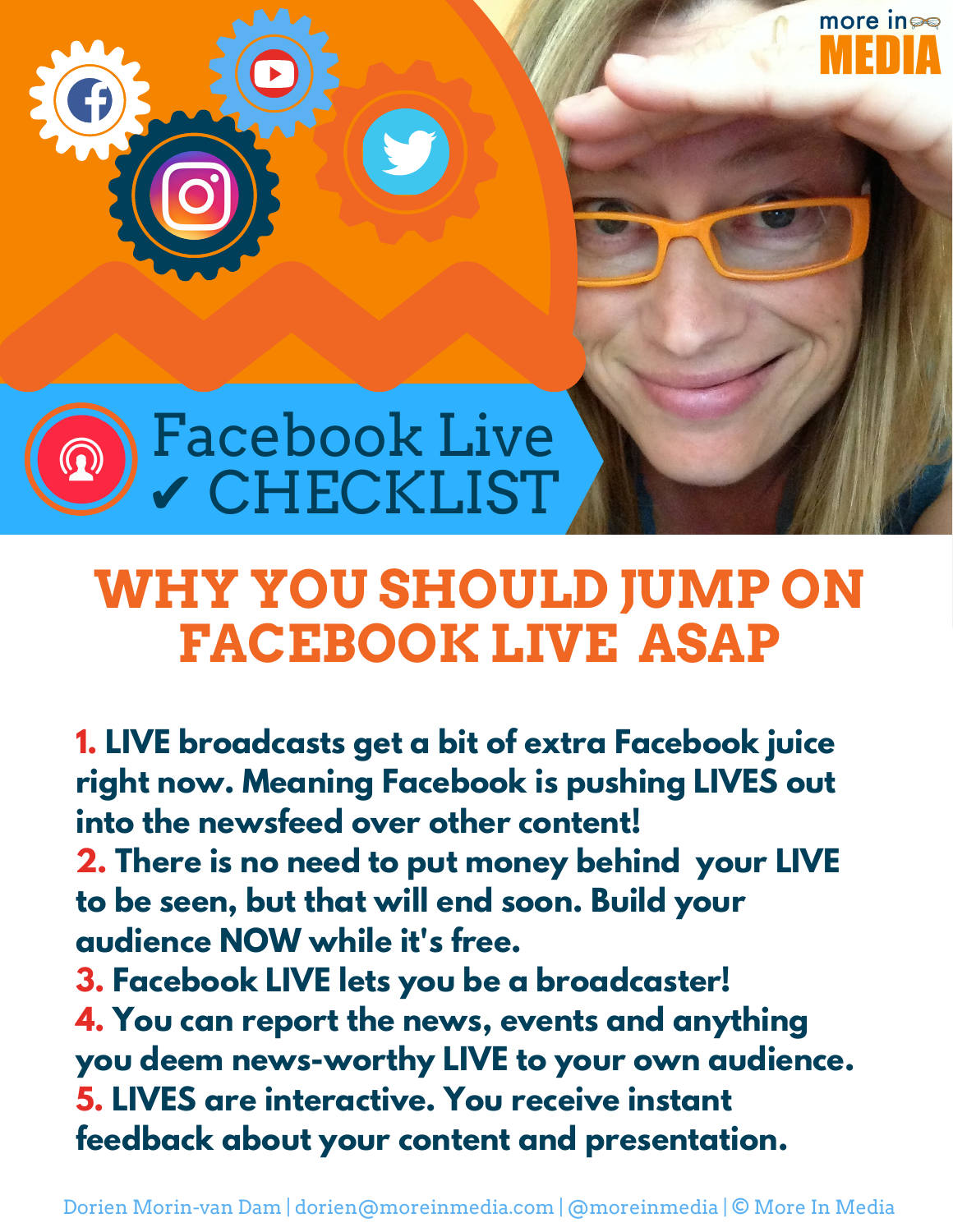

#### **WHY YOU SHOULD JUMP ON FACEBOOK LIVE ASAP**

more in

**1. LIVE broadcasts get a bit of extra Facebook juice right now. Meaning Facebook is pushing LIVES out into the newsfeed over other content! 2. There is no need to put money behind your LIVE to be seen, but that will end soon. Build your audience NOW while it's free. 3. Facebook LIVE lets you be a broadcaster! 4. You can report the news, events and anything you deem news-worthy LIVE to your own audience. 5. LIVES are interactive. You receive instant feedback about your content and presentation.**

Dorien Morin-van Dam | dorien@moreinmedia.com | @moreinmedia | © More In Media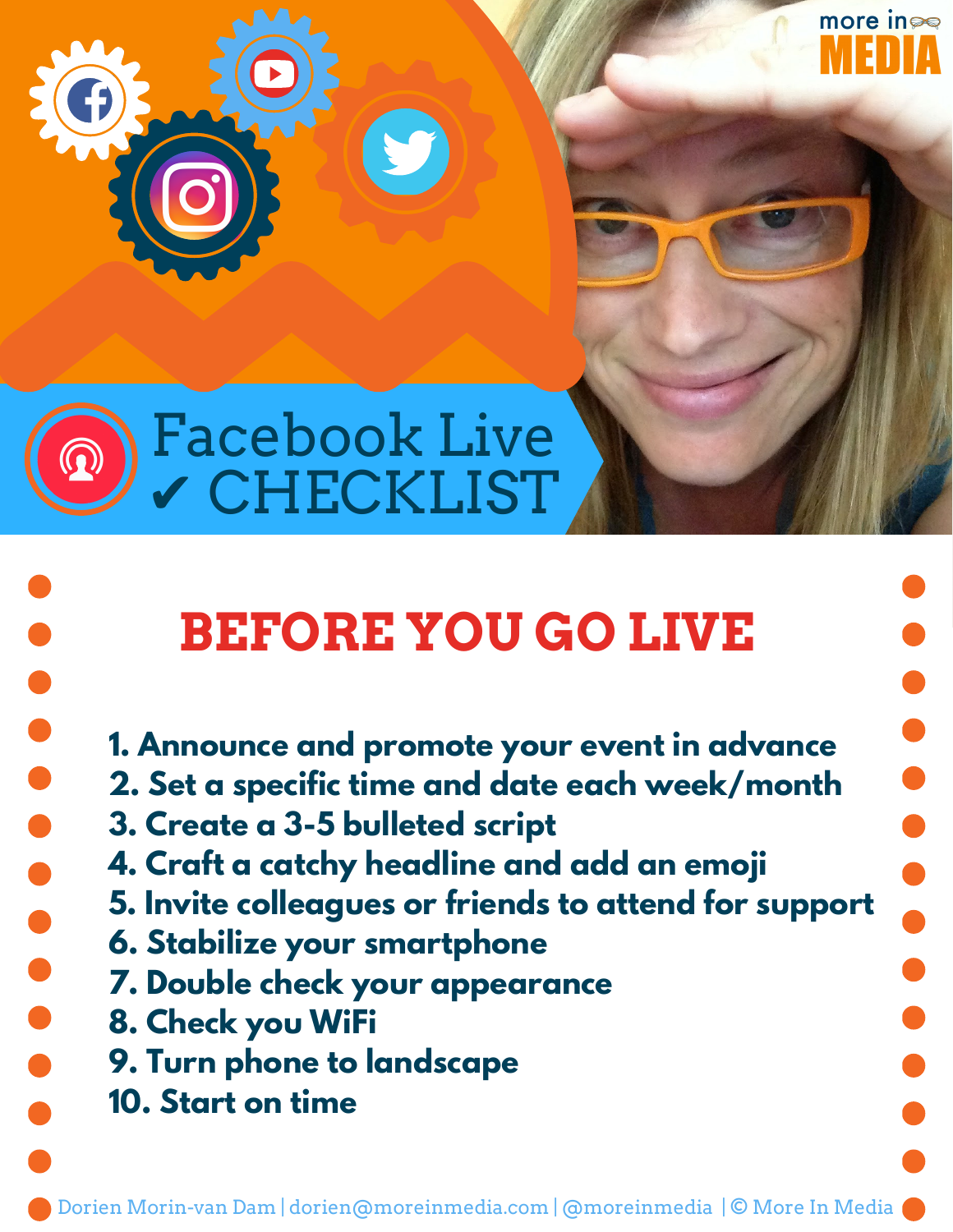

 $\bullet$ 

#### Facebook Live ✔ CHECKLIST

# **BEFORE YOU GO LIVE**

more in

- **1. Announce and promote your event in advance**
- **2. Set a specific time and date each week/month**
- **3. Create a 3-5 bulleted script**
- **4. Craft a catchy headline and add an emoji**
- **5. Invite colleagues or friends to attend for support**
- **6. Stabilize your smartphone**
- **7. Double check your appearance**
- **8. Check you WiFi**
- **9. Turn phone to landscape**
- **10. Start on time**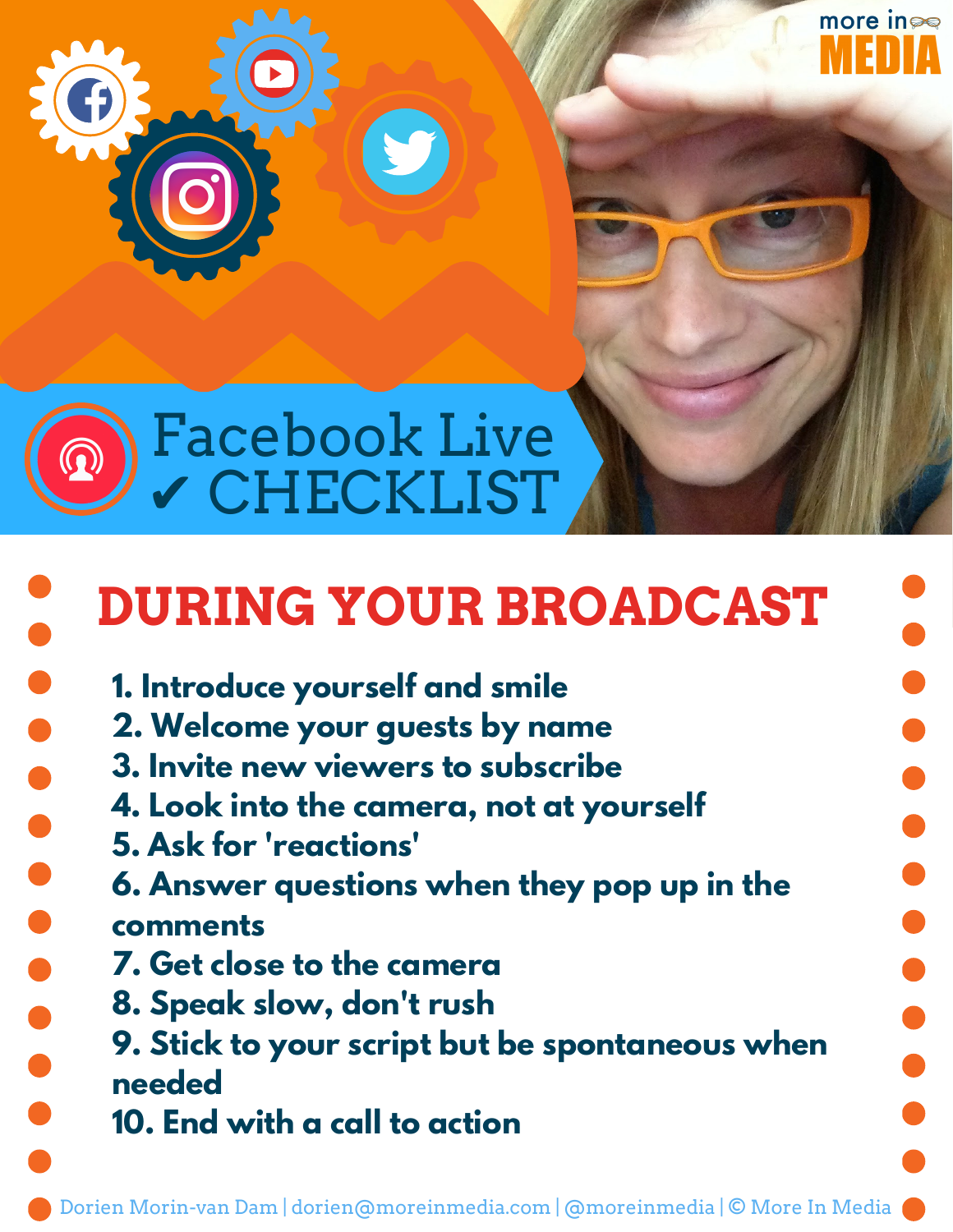



# **DURING YOUR BROADCAST**

more in

- **1. Introduce yourself and smile**
- **2. Welcome your guests by name**
- **3. Invite new viewers to subscribe**
- **4. Look into the camera, not at yourself**
- **5. Ask for 'reactions'**

 $\bullet$ 

- **6. Answer questions when they pop up in the comments**
- **7. Get close to the camera**
- **8. Speak slow, don't rush**
- **9. Stick to your script but be spontaneous when needed**
- **10. End with a call to action**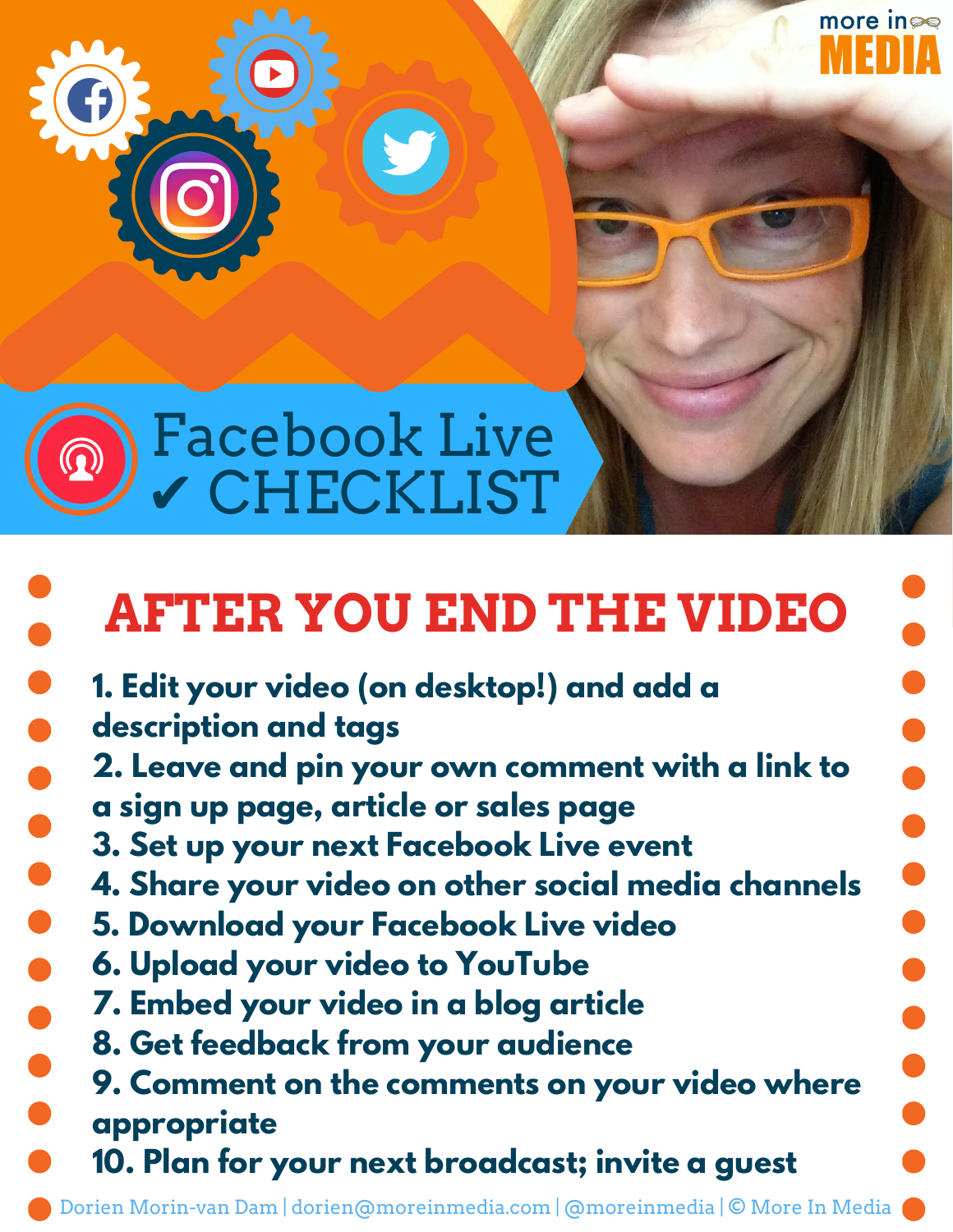

# **AFTER YOU END THE VIDEO**

more in

**. . . . . .** 

 $\bullet$ **1. Edit your video (on desktop!) and add a description and tags 2. Leave and pin your own comment with a link to a sign up page, article or sales page 3. Set up your next Facebook Live event 4. Share your video on other social media channels 5. Download your Facebook Live video 6. Upload your video to YouTube 7. Embed your video in a blog article 8. Get feedback from your audience 9. Comment on the comments on your video where appropriate 10. Plan for your next broadcast; invite a guest**

Dorien Morin-van Dam | dorien@moreinmedia.com | @moreinmedia | © More In Media